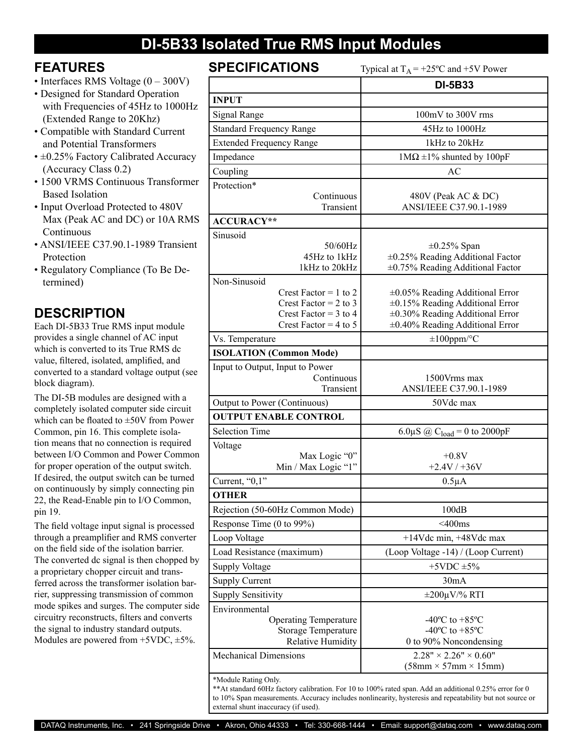## **DI-5B33 Isolated True RMS Input Modules**

### **FEATURES**

- Interfaces RMS Voltage  $(0 300V)$
- Designed for Standard Operation with Frequencies of 45Hz to 1000Hz (Extended Range to 20Khz)
- Compatible with Standard Current and Potential Transformers
- ±0.25% Factory Calibrated Accuracy (Accuracy Class 0.2)
- 1500 VRMS Continuous Transformer Based Isolation
- Input Overload Protected to 480V Max (Peak AC and DC) or 10A RMS Continuous
- ANSI/IEEE C37.90.1-1989 Transient Protection
- Regulatory Compliance (To Be Determined)

### **DESCRIPTION**

Each DI-5B33 True RMS input module provides a single channel of AC input which is converted to its True RMS dc value, filtered, isolated, amplified, and converted to a standard voltage output (see block diagram).

The DI-5B modules are designed with a completely isolated computer side circuit which can be floated to ±50V from Power Common, pin 16. This complete isolation means that no connection is required between I/O Common and Power Common for proper operation of the output switch. If desired, the output switch can be turned on continuously by simply connecting pin 22, the Read-Enable pin to I/O Common, pin 19.

The field voltage input signal is processed through a preamplifier and RMS converter on the field side of the isolation barrier. The converted dc signal is then chopped by a proprietary chopper circuit and transferred across the transformer isolation barrier, suppressing transmission of common mode spikes and surges. The computer side circuitry reconstructs, filters and converts the signal to industry standard outputs. Modules are powered from  $+5VDC$ ,  $\pm 5\%$ .

| <b>SPECIFICATIONS</b><br>Typical at $T_A$ = +25°C and +5V Power                                         |                                                                                                                                                            |  |
|---------------------------------------------------------------------------------------------------------|------------------------------------------------------------------------------------------------------------------------------------------------------------|--|
|                                                                                                         | <b>DI-5B33</b>                                                                                                                                             |  |
| <b>INPUT</b>                                                                                            |                                                                                                                                                            |  |
| Signal Range                                                                                            | 100mV to 300V rms                                                                                                                                          |  |
| <b>Standard Frequency Range</b>                                                                         | 45Hz to 1000Hz                                                                                                                                             |  |
| <b>Extended Frequency Range</b>                                                                         | 1kHz to 20kHz                                                                                                                                              |  |
| Impedance                                                                                               | $1M\Omega \pm 1\%$ shunted by 100pF                                                                                                                        |  |
| Coupling                                                                                                | AC                                                                                                                                                         |  |
| Protection*                                                                                             |                                                                                                                                                            |  |
| Continuous                                                                                              | 480V (Peak AC & DC)                                                                                                                                        |  |
| Transient                                                                                               | ANSI/IEEE C37.90.1-1989                                                                                                                                    |  |
| <b>ACCURACY**</b>                                                                                       |                                                                                                                                                            |  |
| Sinusoid<br>50/60Hz<br>45Hz to 1kHz<br>1kHz to 20kHz                                                    | $\pm 0.25\%$ Span<br>$\pm 0.25\%$ Reading Additional Factor<br>±0.75% Reading Additional Factor                                                            |  |
| Non-Sinusoid                                                                                            |                                                                                                                                                            |  |
| Crest Factor = 1 to 2<br>Crest Factor = $2$ to $3$<br>Crest Factor = $3$ to 4<br>Crest Factor = 4 to 5  | ±0.05% Reading Additional Error<br>$\pm 0.15\%$ Reading Additional Error<br>$\pm 0.30\%$ Reading Additional Error<br>$\pm 0.40\%$ Reading Additional Error |  |
| Vs. Temperature                                                                                         | $\pm 100$ ppm/°C                                                                                                                                           |  |
| <b>ISOLATION (Common Mode)</b>                                                                          |                                                                                                                                                            |  |
| Input to Output, Input to Power                                                                         |                                                                                                                                                            |  |
| Continuous<br>Transient                                                                                 | 1500Vrms max<br>ANSI/IEEE C37.90.1-1989                                                                                                                    |  |
| Output to Power (Continuous)                                                                            | 50Vdc max                                                                                                                                                  |  |
| <b>OUTPUT ENABLE CONTROL</b>                                                                            |                                                                                                                                                            |  |
| <b>Selection Time</b>                                                                                   | 6.0 $\mu$ S @ C <sub>load</sub> = 0 to 2000pF                                                                                                              |  |
| Voltage<br>Max Logic "0"<br>Min / Max Logic "1"                                                         | $+0.8V$<br>$+2.4V/+36V$                                                                                                                                    |  |
| Current, "0,1"                                                                                          | $0.5\mu A$                                                                                                                                                 |  |
| <b>OTHER</b>                                                                                            |                                                                                                                                                            |  |
| Rejection (50-60Hz Common Mode)                                                                         | 100dB                                                                                                                                                      |  |
| Response Time (0 to 99%)                                                                                | $<$ 400 $ms$                                                                                                                                               |  |
| Loop Voltage                                                                                            | $+14$ Vdc min, $+48$ Vdc max                                                                                                                               |  |
| Load Resistance (maximum)                                                                               | (Loop Voltage -14) / (Loop Current)                                                                                                                        |  |
| <b>Supply Voltage</b>                                                                                   | $+5$ VDC $\pm$ 5%                                                                                                                                          |  |
| <b>Supply Current</b>                                                                                   | 30mA                                                                                                                                                       |  |
| <b>Supply Sensitivity</b>                                                                               | $\pm 200 \mu V$ % RTI                                                                                                                                      |  |
| Environmental<br><b>Operating Temperature</b><br><b>Storage Temperature</b><br><b>Relative Humidity</b> | $-40^{\circ}$ C to $+85^{\circ}$ C<br>-40 $^{\circ}$ C to +85 $^{\circ}$ C<br>0 to 90% Noncondensing                                                       |  |
| <b>Mechanical Dimensions</b>                                                                            | $2.28" \times 2.26" \times 0.60"$<br>$(58mm \times 57mm \times 15mm)$                                                                                      |  |
| *Module Rating Only                                                                                     |                                                                                                                                                            |  |

\*Module Rating Only.

\*\*At standard 60Hz factory calibration. For 10 to 100% rated span. Add an additional 0.25% error for 0 to 10% Span measurements. Accuracy includes nonlinearity, hysteresis and repeatability but not source or external shunt inaccuracy (if used).